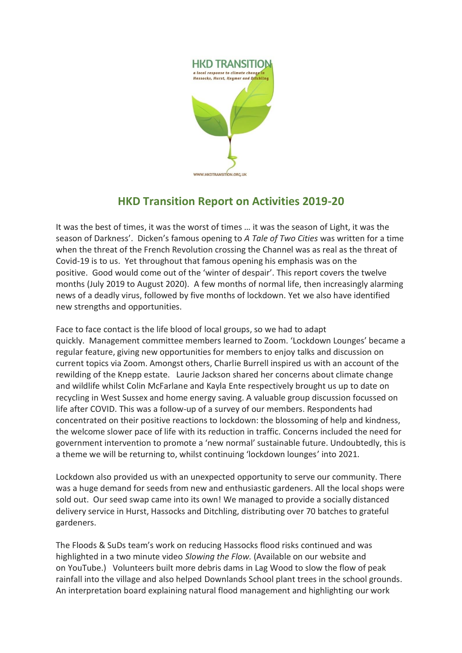

## **HKD Transition Report on Activities 2019-20**

It was the best of times, it was the worst of times … it was the season of Light, it was the season of Darkness'. Dicken's famous opening to *A Tale of Two Cities* was written for a time when the threat of the French Revolution crossing the Channel was as real as the threat of Covid-19 is to us. Yet throughout that famous opening his emphasis was on the positive. Good would come out of the 'winter of despair'. This report covers the twelve months (July 2019 to August 2020). A few months of normal life, then increasingly alarming news of a deadly virus, followed by five months of lockdown. Yet we also have identified new strengths and opportunities.

Face to face contact is the life blood of local groups, so we had to adapt quickly. Management committee members learned to Zoom. 'Lockdown Lounges' became a regular feature, giving new opportunities for members to enjoy talks and discussion on current topics via Zoom. Amongst others, Charlie Burrell inspired us with an account of the rewilding of the Knepp estate. Laurie Jackson shared her concerns about climate change and wildlife whilst Colin McFarlane and Kayla Ente respectively brought us up to date on recycling in West Sussex and home energy saving. A valuable group discussion focussed on life after COVID. This was a follow-up of a survey of our members. Respondents had concentrated on their positive reactions to lockdown: the blossoming of help and kindness, the welcome slower pace of life with its reduction in traffic. Concerns included the need for government intervention to promote a 'new normal' sustainable future. Undoubtedly, this is a theme we will be returning to, whilst continuing 'lockdown lounges' into 2021.

Lockdown also provided us with an unexpected opportunity to serve our community. There was a huge demand for seeds from new and enthusiastic gardeners. All the local shops were sold out. Our seed swap came into its own! We managed to provide a socially distanced delivery service in Hurst, Hassocks and Ditchling, distributing over 70 batches to grateful gardeners.

The Floods & SuDs team's work on reducing Hassocks flood risks continued and was highlighted in a two minute video *Slowing the Flow.* (Available on our website and on YouTube.)Volunteers built more debris dams in Lag Wood to slow the flow of peak rainfall into the village and also helped Downlands School plant trees in the school grounds. An interpretation board explaining natural flood management and highlighting our work